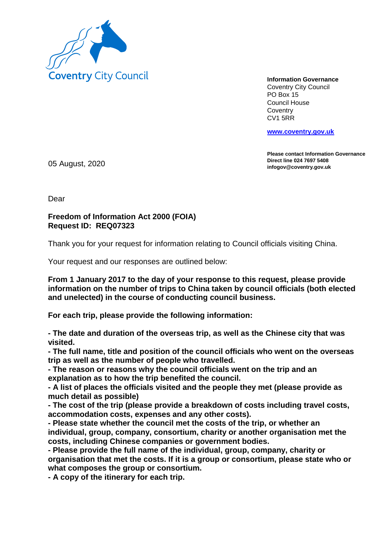

**Information Governance** Coventry City Council PO Box 15 Council House **Coventry** CV1 5RR

**www.coventry.gov.uk**

**Please contact Information Governance Direct line 024 7697 5408 infogov@coventry.gov.uk** 05 August, 2020

Dear

## **Freedom of Information Act 2000 (FOIA) Request ID: REQ07323**

Thank you for your request for information relating to Council officials visiting China.

Your request and our responses are outlined below:

**From 1 January 2017 to the day of your response to this request, please provide information on the number of trips to China taken by council officials (both elected and unelected) in the course of conducting council business.**

**For each trip, please provide the following information:**

**- The date and duration of the overseas trip, as well as the Chinese city that was visited.**

**- The full name, title and position of the council officials who went on the overseas trip as well as the number of people who travelled.**

**- The reason or reasons why the council officials went on the trip and an explanation as to how the trip benefited the council.**

**- A list of places the officials visited and the people they met (please provide as much detail as possible)**

**- The cost of the trip (please provide a breakdown of costs including travel costs, accommodation costs, expenses and any other costs).**

**- Please state whether the council met the costs of the trip, or whether an individual, group, company, consortium, charity or another organisation met the costs, including Chinese companies or government bodies.**

**- Please provide the full name of the individual, group, company, charity or organisation that met the costs. If it is a group or consortium, please state who or what composes the group or consortium.**

**- A copy of the itinerary for each trip.**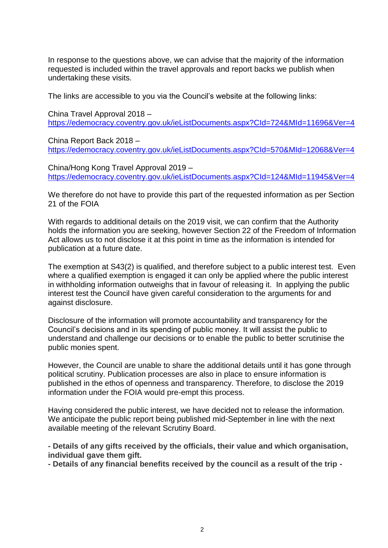In response to the questions above, we can advise that the majority of the information requested is included within the travel approvals and report backs we publish when undertaking these visits.

The links are accessible to you via the Council's website at the following links:

China Travel Approval 2018 – https://edemocracy.coventry.gov.uk/ieListDocuments.aspx?CId=724&MId=11696&Ver=4

China Report Back 2018 – https://edemocracy.coventry.gov.uk/ieListDocuments.aspx?CId=570&MId=12068&Ver=4

China/Hong Kong Travel Approval 2019 – https://edemocracy.coventry.gov.uk/ieListDocuments.aspx?CId=124&MId=11945&Ver=4

We therefore do not have to provide this part of the requested information as per Section 21 of the FOIA

With regards to additional details on the 2019 visit, we can confirm that the Authority holds the information you are seeking, however Section 22 of the Freedom of Information Act allows us to not disclose it at this point in time as the information is intended for publication at a future date.

The exemption at S43(2) is qualified, and therefore subject to a public interest test. Even where a qualified exemption is engaged it can only be applied where the public interest in withholding information outweighs that in favour of releasing it. In applying the public interest test the Council have given careful consideration to the arguments for and against disclosure.

Disclosure of the information will promote accountability and transparency for the Council's decisions and in its spending of public money. It will assist the public to understand and challenge our decisions or to enable the public to better scrutinise the public monies spent.

However, the Council are unable to share the additional details until it has gone through political scrutiny. Publication processes are also in place to ensure information is published in the ethos of openness and transparency. Therefore, to disclose the 2019 information under the FOIA would pre-empt this process.

Having considered the public interest, we have decided not to release the information. We anticipate the public report being published mid-September in line with the next available meeting of the relevant Scrutiny Board.

**- Details of any gifts received by the officials, their value and which organisation, individual gave them gift.**

**- Details of any financial benefits received by the council as a result of the trip -**